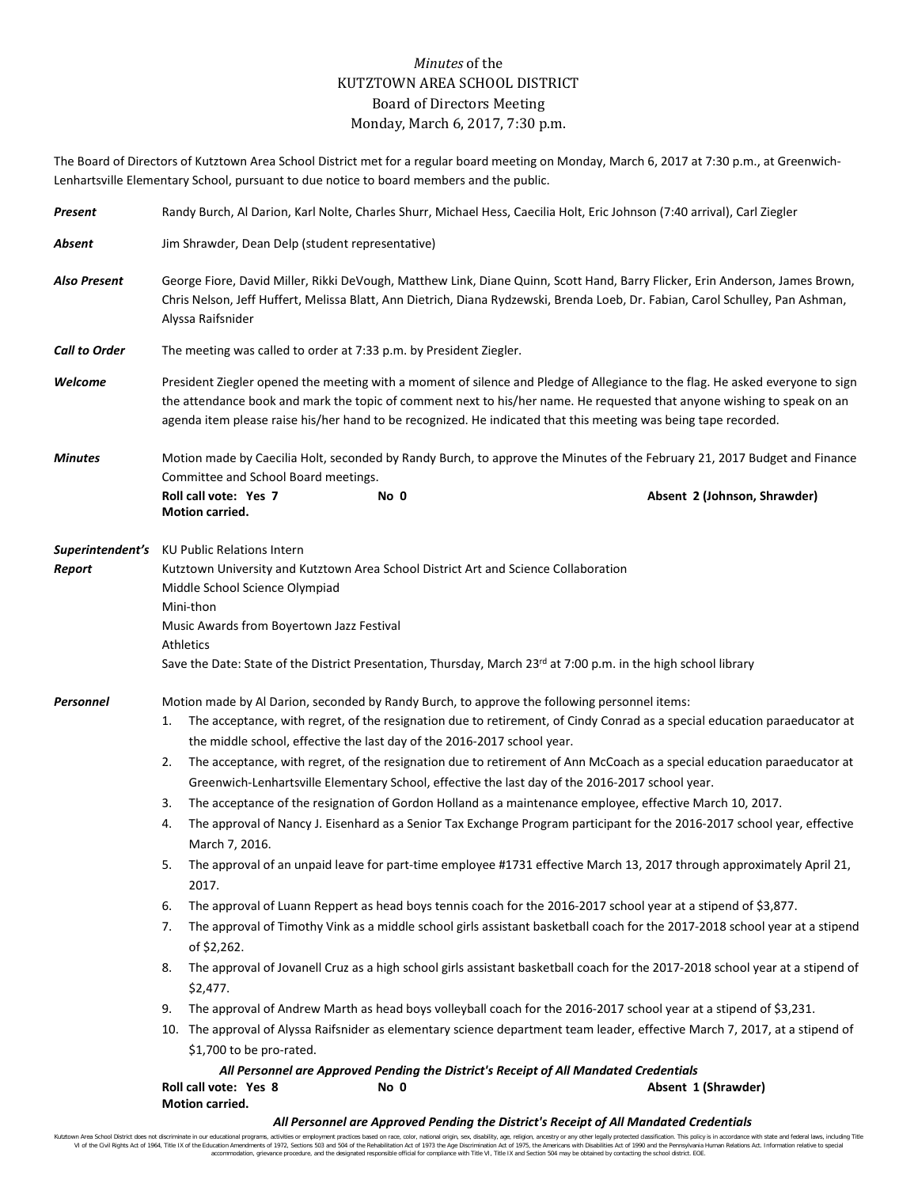## *Minutes* of the KUTZTOWN AREA SCHOOL DISTRICT Board of Directors Meeting Monday, March 6, 2017, 7:30 p.m.

The Board of Directors of Kutztown Area School District met for a regular board meeting on Monday, March 6, 2017 at 7:30 p.m., at Greenwich-Lenhartsville Elementary School, pursuant to due notice to board members and the public.

| Present              | Randy Burch, Al Darion, Karl Nolte, Charles Shurr, Michael Hess, Caecilia Holt, Eric Johnson (7:40 arrival), Carl Ziegler                                                                                                                                                                                                                                                                                                                                                                                                                                                                                                                                                                                                                                                                                                                                                                                                                                                                                                                                                                                                                                                                                                                                                                                                                                                                                                                                                                                                                                                                                                                                                                                                                                                                                                           |  |  |  |  |  |  |
|----------------------|-------------------------------------------------------------------------------------------------------------------------------------------------------------------------------------------------------------------------------------------------------------------------------------------------------------------------------------------------------------------------------------------------------------------------------------------------------------------------------------------------------------------------------------------------------------------------------------------------------------------------------------------------------------------------------------------------------------------------------------------------------------------------------------------------------------------------------------------------------------------------------------------------------------------------------------------------------------------------------------------------------------------------------------------------------------------------------------------------------------------------------------------------------------------------------------------------------------------------------------------------------------------------------------------------------------------------------------------------------------------------------------------------------------------------------------------------------------------------------------------------------------------------------------------------------------------------------------------------------------------------------------------------------------------------------------------------------------------------------------------------------------------------------------------------------------------------------------|--|--|--|--|--|--|
| Absent               | Jim Shrawder, Dean Delp (student representative)                                                                                                                                                                                                                                                                                                                                                                                                                                                                                                                                                                                                                                                                                                                                                                                                                                                                                                                                                                                                                                                                                                                                                                                                                                                                                                                                                                                                                                                                                                                                                                                                                                                                                                                                                                                    |  |  |  |  |  |  |
| <b>Also Present</b>  | George Fiore, David Miller, Rikki DeVough, Matthew Link, Diane Quinn, Scott Hand, Barry Flicker, Erin Anderson, James Brown,<br>Chris Nelson, Jeff Huffert, Melissa Blatt, Ann Dietrich, Diana Rydzewski, Brenda Loeb, Dr. Fabian, Carol Schulley, Pan Ashman,<br>Alyssa Raifsnider                                                                                                                                                                                                                                                                                                                                                                                                                                                                                                                                                                                                                                                                                                                                                                                                                                                                                                                                                                                                                                                                                                                                                                                                                                                                                                                                                                                                                                                                                                                                                 |  |  |  |  |  |  |
| <b>Call to Order</b> | The meeting was called to order at 7:33 p.m. by President Ziegler.                                                                                                                                                                                                                                                                                                                                                                                                                                                                                                                                                                                                                                                                                                                                                                                                                                                                                                                                                                                                                                                                                                                                                                                                                                                                                                                                                                                                                                                                                                                                                                                                                                                                                                                                                                  |  |  |  |  |  |  |
| Welcome              | President Ziegler opened the meeting with a moment of silence and Pledge of Allegiance to the flag. He asked everyone to sign<br>the attendance book and mark the topic of comment next to his/her name. He requested that anyone wishing to speak on an<br>agenda item please raise his/her hand to be recognized. He indicated that this meeting was being tape recorded.                                                                                                                                                                                                                                                                                                                                                                                                                                                                                                                                                                                                                                                                                                                                                                                                                                                                                                                                                                                                                                                                                                                                                                                                                                                                                                                                                                                                                                                         |  |  |  |  |  |  |
| <b>Minutes</b>       | Motion made by Caecilia Holt, seconded by Randy Burch, to approve the Minutes of the February 21, 2017 Budget and Finance<br>Committee and School Board meetings.                                                                                                                                                                                                                                                                                                                                                                                                                                                                                                                                                                                                                                                                                                                                                                                                                                                                                                                                                                                                                                                                                                                                                                                                                                                                                                                                                                                                                                                                                                                                                                                                                                                                   |  |  |  |  |  |  |
|                      | Roll call vote: Yes 7<br>No 0<br>Absent 2 (Johnson, Shrawder)<br><b>Motion carried.</b>                                                                                                                                                                                                                                                                                                                                                                                                                                                                                                                                                                                                                                                                                                                                                                                                                                                                                                                                                                                                                                                                                                                                                                                                                                                                                                                                                                                                                                                                                                                                                                                                                                                                                                                                             |  |  |  |  |  |  |
| Report               | <b>Superintendent's</b> KU Public Relations Intern<br>Kutztown University and Kutztown Area School District Art and Science Collaboration<br>Middle School Science Olympiad<br>Mini-thon<br>Music Awards from Boyertown Jazz Festival<br><b>Athletics</b><br>Save the Date: State of the District Presentation, Thursday, March 23rd at 7:00 p.m. in the high school library                                                                                                                                                                                                                                                                                                                                                                                                                                                                                                                                                                                                                                                                                                                                                                                                                                                                                                                                                                                                                                                                                                                                                                                                                                                                                                                                                                                                                                                        |  |  |  |  |  |  |
| Personnel            | Motion made by Al Darion, seconded by Randy Burch, to approve the following personnel items:<br>The acceptance, with regret, of the resignation due to retirement, of Cindy Conrad as a special education paraeducator at<br>1.<br>the middle school, effective the last day of the 2016-2017 school year.<br>The acceptance, with regret, of the resignation due to retirement of Ann McCoach as a special education paraeducator at<br>2.<br>Greenwich-Lenhartsville Elementary School, effective the last day of the 2016-2017 school year.<br>The acceptance of the resignation of Gordon Holland as a maintenance employee, effective March 10, 2017.<br>3.<br>The approval of Nancy J. Eisenhard as a Senior Tax Exchange Program participant for the 2016-2017 school year, effective<br>4.<br>March 7, 2016.<br>The approval of an unpaid leave for part-time employee #1731 effective March 13, 2017 through approximately April 21,<br>5.<br>2017.<br>The approval of Luann Reppert as head boys tennis coach for the 2016-2017 school year at a stipend of \$3,877.<br>6.<br>The approval of Timothy Vink as a middle school girls assistant basketball coach for the 2017-2018 school year at a stipend<br>7.<br>of \$2,262.<br>The approval of Jovanell Cruz as a high school girls assistant basketball coach for the 2017-2018 school year at a stipend of<br>8.<br>\$2,477.<br>The approval of Andrew Marth as head boys volleyball coach for the 2016-2017 school year at a stipend of \$3,231.<br>9.<br>10. The approval of Alyssa Raifsnider as elementary science department team leader, effective March 7, 2017, at a stipend of<br>\$1,700 to be pro-rated.<br>All Personnel are Approved Pending the District's Receipt of All Mandated Credentials<br>Roll call vote: Yes 8<br>Absent 1 (Shrawder)<br>No 0 |  |  |  |  |  |  |
|                      | Motion carried.                                                                                                                                                                                                                                                                                                                                                                                                                                                                                                                                                                                                                                                                                                                                                                                                                                                                                                                                                                                                                                                                                                                                                                                                                                                                                                                                                                                                                                                                                                                                                                                                                                                                                                                                                                                                                     |  |  |  |  |  |  |

## *All Personnel are Approved Pending the District's Receipt of All Mandated Credentials*

Kutztown Area School District does not discriminate in our educational programs, activities or employment practices based on race, color, national origin, sex, disability, age, religion, ancestry or any other legally prot